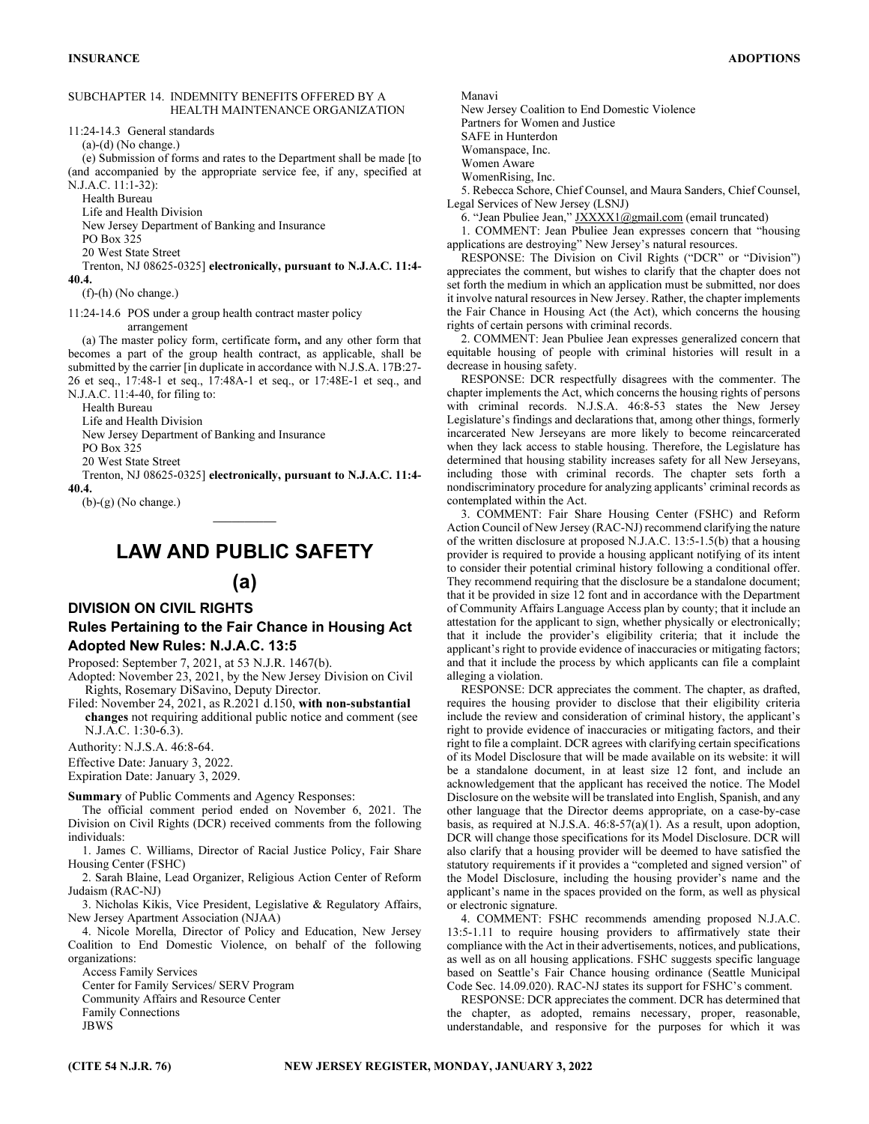#### SUBCHAPTER 14. INDEMNITY BENEFITS OFFERED BY A HEALTH MAINTENANCE ORGANIZATION

11:24-14.3 General standards

 $(a)-(d)$  (No change.)

(e) Submission of forms and rates to the Department shall be made [to (and accompanied by the appropriate service fee, if any, specified at N.J.A.C. 11:1-32):

Health Bureau

Life and Health Division

New Jersey Department of Banking and Insurance

PO Box 325

20 West State Street

Trenton, NJ 08625-0325] electronically, pursuant to N.J.A.C. 11:4- 40.4.

(f)-(h) (No change.)

11:24-14.6 POS under a group health contract master policy

arrangement

(a) The master policy form, certificate form, and any other form that becomes a part of the group health contract, as applicable, shall be submitted by the carrier [in duplicate in accordance with N.J.S.A. 17B:27- 26 et seq., 17:48-1 et seq., 17:48A-1 et seq., or 17:48E-1 et seq., and N.J.A.C. 11:4-40, for filing to:

Health Bureau

Life and Health Division

New Jersey Department of Banking and Insurance

PO Box 325

20 West State Street

Trenton, NJ 08625-0325] electronically, pursuant to N.J.A.C. 11:4- 40.4.

(b)-(g) (No change.)

# $\overline{\phantom{a}}$ LAW AND PUBLIC SAFETY

(a)

## DIVISION ON CIVIL RIGHTS

## Rules Pertaining to the Fair Chance in Housing Act Adopted New Rules: N.J.A.C. 13:5

Proposed: September 7, 2021, at 53 N.J.R. 1467(b).

Adopted: November 23, 2021, by the New Jersey Division on Civil Rights, Rosemary DiSavino, Deputy Director.

Filed: November 24, 2021, as R.2021 d.150, with non-substantial changes not requiring additional public notice and comment (see N.J.A.C. 1:30-6.3).

Authority: N.J.S.A. 46:8-64.

Effective Date: January 3, 2022.

Expiration Date: January 3, 2029.

Summary of Public Comments and Agency Responses:

The official comment period ended on November 6, 2021. The Division on Civil Rights (DCR) received comments from the following individuals:

1. James C. Williams, Director of Racial Justice Policy, Fair Share Housing Center (FSHC)

2. Sarah Blaine, Lead Organizer, Religious Action Center of Reform Judaism (RAC-NJ)

3. Nicholas Kikis, Vice President, Legislative & Regulatory Affairs, New Jersey Apartment Association (NJAA)

4. Nicole Morella, Director of Policy and Education, New Jersey Coalition to End Domestic Violence, on behalf of the following organizations:

Access Family Services Center for Family Services/ SERV Program Community Affairs and Resource Center Family Connections JBWS

Manavi

New Jersey Coalition to End Domestic Violence

Partners for Women and Justice

SAFE in Hunterdon Womanspace, Inc.

Women Aware

WomenRising, Inc.

5. Rebecca Schore, Chief Counsel, and Maura Sanders, Chief Counsel, Legal Services of New Jersey (LSNJ)

6. "Jean Pbuliee Jean," *JXXXX1@gmail.com* (email truncated)

1. COMMENT: Jean Pbuliee Jean expresses concern that "housing applications are destroying" New Jersey's natural resources.

RESPONSE: The Division on Civil Rights ("DCR" or "Division") appreciates the comment, but wishes to clarify that the chapter does not set forth the medium in which an application must be submitted, nor does it involve natural resources in New Jersey. Rather, the chapter implements the Fair Chance in Housing Act (the Act), which concerns the housing rights of certain persons with criminal records.

2. COMMENT: Jean Pbuliee Jean expresses generalized concern that equitable housing of people with criminal histories will result in a decrease in housing safety.

RESPONSE: DCR respectfully disagrees with the commenter. The chapter implements the Act, which concerns the housing rights of persons with criminal records. N.J.S.A. 46:8-53 states the New Jersey Legislature's findings and declarations that, among other things, formerly incarcerated New Jerseyans are more likely to become reincarcerated when they lack access to stable housing. Therefore, the Legislature has determined that housing stability increases safety for all New Jerseyans, including those with criminal records. The chapter sets forth a nondiscriminatory procedure for analyzing applicants' criminal records as contemplated within the Act.

3. COMMENT: Fair Share Housing Center (FSHC) and Reform Action Council of New Jersey (RAC-NJ) recommend clarifying the nature of the written disclosure at proposed N.J.A.C. 13:5-1.5(b) that a housing provider is required to provide a housing applicant notifying of its intent to consider their potential criminal history following a conditional offer. They recommend requiring that the disclosure be a standalone document; that it be provided in size 12 font and in accordance with the Department of Community Affairs Language Access plan by county; that it include an attestation for the applicant to sign, whether physically or electronically; that it include the provider's eligibility criteria; that it include the applicant's right to provide evidence of inaccuracies or mitigating factors; and that it include the process by which applicants can file a complaint alleging a violation.

RESPONSE: DCR appreciates the comment. The chapter, as drafted, requires the housing provider to disclose that their eligibility criteria include the review and consideration of criminal history, the applicant's right to provide evidence of inaccuracies or mitigating factors, and their right to file a complaint. DCR agrees with clarifying certain specifications of its Model Disclosure that will be made available on its website: it will be a standalone document, in at least size 12 font, and include an acknowledgement that the applicant has received the notice. The Model Disclosure on the website will be translated into English, Spanish, and any other language that the Director deems appropriate, on a case-by-case basis, as required at N.J.S.A. 46:8-57(a)(1). As a result, upon adoption, DCR will change those specifications for its Model Disclosure. DCR will also clarify that a housing provider will be deemed to have satisfied the statutory requirements if it provides a "completed and signed version" of the Model Disclosure, including the housing provider's name and the applicant's name in the spaces provided on the form, as well as physical or electronic signature.

4. COMMENT: FSHC recommends amending proposed N.J.A.C. 13:5-1.11 to require housing providers to affirmatively state their compliance with the Act in their advertisements, notices, and publications, as well as on all housing applications. FSHC suggests specific language based on Seattle's Fair Chance housing ordinance (Seattle Municipal Code Sec. 14.09.020). RAC-NJ states its support for FSHC's comment.

RESPONSE: DCR appreciates the comment. DCR has determined that the chapter, as adopted, remains necessary, proper, reasonable, understandable, and responsive for the purposes for which it was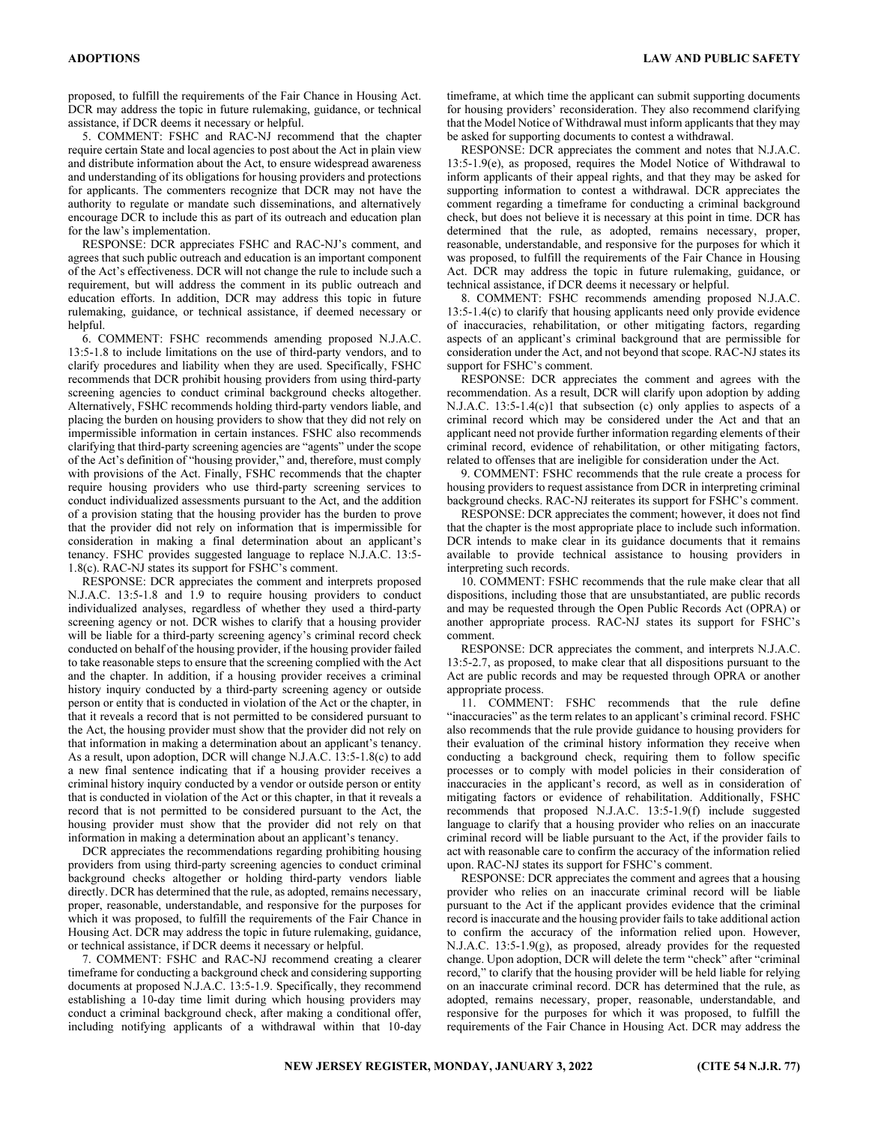proposed, to fulfill the requirements of the Fair Chance in Housing Act. DCR may address the topic in future rulemaking, guidance, or technical assistance, if DCR deems it necessary or helpful.

5. COMMENT: FSHC and RAC-NJ recommend that the chapter require certain State and local agencies to post about the Act in plain view and distribute information about the Act, to ensure widespread awareness and understanding of its obligations for housing providers and protections for applicants. The commenters recognize that DCR may not have the authority to regulate or mandate such disseminations, and alternatively encourage DCR to include this as part of its outreach and education plan for the law's implementation.

RESPONSE: DCR appreciates FSHC and RAC-NJ's comment, and agrees that such public outreach and education is an important component of the Act's effectiveness. DCR will not change the rule to include such a requirement, but will address the comment in its public outreach and education efforts. In addition, DCR may address this topic in future rulemaking, guidance, or technical assistance, if deemed necessary or helpful.

6. COMMENT: FSHC recommends amending proposed N.J.A.C. 13:5-1.8 to include limitations on the use of third-party vendors, and to clarify procedures and liability when they are used. Specifically, FSHC recommends that DCR prohibit housing providers from using third-party screening agencies to conduct criminal background checks altogether. Alternatively, FSHC recommends holding third-party vendors liable, and placing the burden on housing providers to show that they did not rely on impermissible information in certain instances. FSHC also recommends clarifying that third-party screening agencies are "agents" under the scope of the Act's definition of "housing provider," and, therefore, must comply with provisions of the Act. Finally, FSHC recommends that the chapter require housing providers who use third-party screening services to conduct individualized assessments pursuant to the Act, and the addition of a provision stating that the housing provider has the burden to prove that the provider did not rely on information that is impermissible for consideration in making a final determination about an applicant's tenancy. FSHC provides suggested language to replace N.J.A.C. 13:5- 1.8(c). RAC-NJ states its support for FSHC's comment.

RESPONSE: DCR appreciates the comment and interprets proposed N.J.A.C. 13:5-1.8 and 1.9 to require housing providers to conduct individualized analyses, regardless of whether they used a third-party screening agency or not. DCR wishes to clarify that a housing provider will be liable for a third-party screening agency's criminal record check conducted on behalf of the housing provider, if the housing provider failed to take reasonable steps to ensure that the screening complied with the Act and the chapter. In addition, if a housing provider receives a criminal history inquiry conducted by a third-party screening agency or outside person or entity that is conducted in violation of the Act or the chapter, in that it reveals a record that is not permitted to be considered pursuant to the Act, the housing provider must show that the provider did not rely on that information in making a determination about an applicant's tenancy. As a result, upon adoption, DCR will change N.J.A.C. 13:5-1.8(c) to add a new final sentence indicating that if a housing provider receives a criminal history inquiry conducted by a vendor or outside person or entity that is conducted in violation of the Act or this chapter, in that it reveals a record that is not permitted to be considered pursuant to the Act, the housing provider must show that the provider did not rely on that information in making a determination about an applicant's tenancy.

DCR appreciates the recommendations regarding prohibiting housing providers from using third-party screening agencies to conduct criminal background checks altogether or holding third-party vendors liable directly. DCR has determined that the rule, as adopted, remains necessary, proper, reasonable, understandable, and responsive for the purposes for which it was proposed, to fulfill the requirements of the Fair Chance in Housing Act. DCR may address the topic in future rulemaking, guidance, or technical assistance, if DCR deems it necessary or helpful.

7. COMMENT: FSHC and RAC-NJ recommend creating a clearer timeframe for conducting a background check and considering supporting documents at proposed N.J.A.C. 13:5-1.9. Specifically, they recommend establishing a 10-day time limit during which housing providers may conduct a criminal background check, after making a conditional offer, including notifying applicants of a withdrawal within that 10-day timeframe, at which time the applicant can submit supporting documents for housing providers' reconsideration. They also recommend clarifying that the Model Notice of Withdrawal must inform applicants that they may be asked for supporting documents to contest a withdrawal.

RESPONSE: DCR appreciates the comment and notes that N.J.A.C. 13:5-1.9(e), as proposed, requires the Model Notice of Withdrawal to inform applicants of their appeal rights, and that they may be asked for supporting information to contest a withdrawal. DCR appreciates the comment regarding a timeframe for conducting a criminal background check, but does not believe it is necessary at this point in time. DCR has determined that the rule, as adopted, remains necessary, proper, reasonable, understandable, and responsive for the purposes for which it was proposed, to fulfill the requirements of the Fair Chance in Housing Act. DCR may address the topic in future rulemaking, guidance, or technical assistance, if DCR deems it necessary or helpful.

8. COMMENT: FSHC recommends amending proposed N.J.A.C. 13:5-1.4(c) to clarify that housing applicants need only provide evidence of inaccuracies, rehabilitation, or other mitigating factors, regarding aspects of an applicant's criminal background that are permissible for consideration under the Act, and not beyond that scope. RAC-NJ states its support for FSHC's comment.

RESPONSE: DCR appreciates the comment and agrees with the recommendation. As a result, DCR will clarify upon adoption by adding N.J.A.C. 13:5-1.4(c)1 that subsection (c) only applies to aspects of a criminal record which may be considered under the Act and that an applicant need not provide further information regarding elements of their criminal record, evidence of rehabilitation, or other mitigating factors, related to offenses that are ineligible for consideration under the Act.

9. COMMENT: FSHC recommends that the rule create a process for housing providers to request assistance from DCR in interpreting criminal background checks. RAC-NJ reiterates its support for FSHC's comment.

RESPONSE: DCR appreciates the comment; however, it does not find that the chapter is the most appropriate place to include such information. DCR intends to make clear in its guidance documents that it remains available to provide technical assistance to housing providers in interpreting such records.

10. COMMENT: FSHC recommends that the rule make clear that all dispositions, including those that are unsubstantiated, are public records and may be requested through the Open Public Records Act (OPRA) or another appropriate process. RAC-NJ states its support for FSHC's comment.

RESPONSE: DCR appreciates the comment, and interprets N.J.A.C. 13:5-2.7, as proposed, to make clear that all dispositions pursuant to the Act are public records and may be requested through OPRA or another appropriate process.

11. COMMENT: FSHC recommends that the rule define "inaccuracies" as the term relates to an applicant's criminal record. FSHC also recommends that the rule provide guidance to housing providers for their evaluation of the criminal history information they receive when conducting a background check, requiring them to follow specific processes or to comply with model policies in their consideration of inaccuracies in the applicant's record, as well as in consideration of mitigating factors or evidence of rehabilitation. Additionally, FSHC recommends that proposed N.J.A.C. 13:5-1.9(f) include suggested language to clarify that a housing provider who relies on an inaccurate criminal record will be liable pursuant to the Act, if the provider fails to act with reasonable care to confirm the accuracy of the information relied upon. RAC-NJ states its support for FSHC's comment.

RESPONSE: DCR appreciates the comment and agrees that a housing provider who relies on an inaccurate criminal record will be liable pursuant to the Act if the applicant provides evidence that the criminal record is inaccurate and the housing provider fails to take additional action to confirm the accuracy of the information relied upon. However, N.J.A.C. 13:5-1.9(g), as proposed, already provides for the requested change. Upon adoption, DCR will delete the term "check" after "criminal record," to clarify that the housing provider will be held liable for relying on an inaccurate criminal record. DCR has determined that the rule, as adopted, remains necessary, proper, reasonable, understandable, and responsive for the purposes for which it was proposed, to fulfill the requirements of the Fair Chance in Housing Act. DCR may address the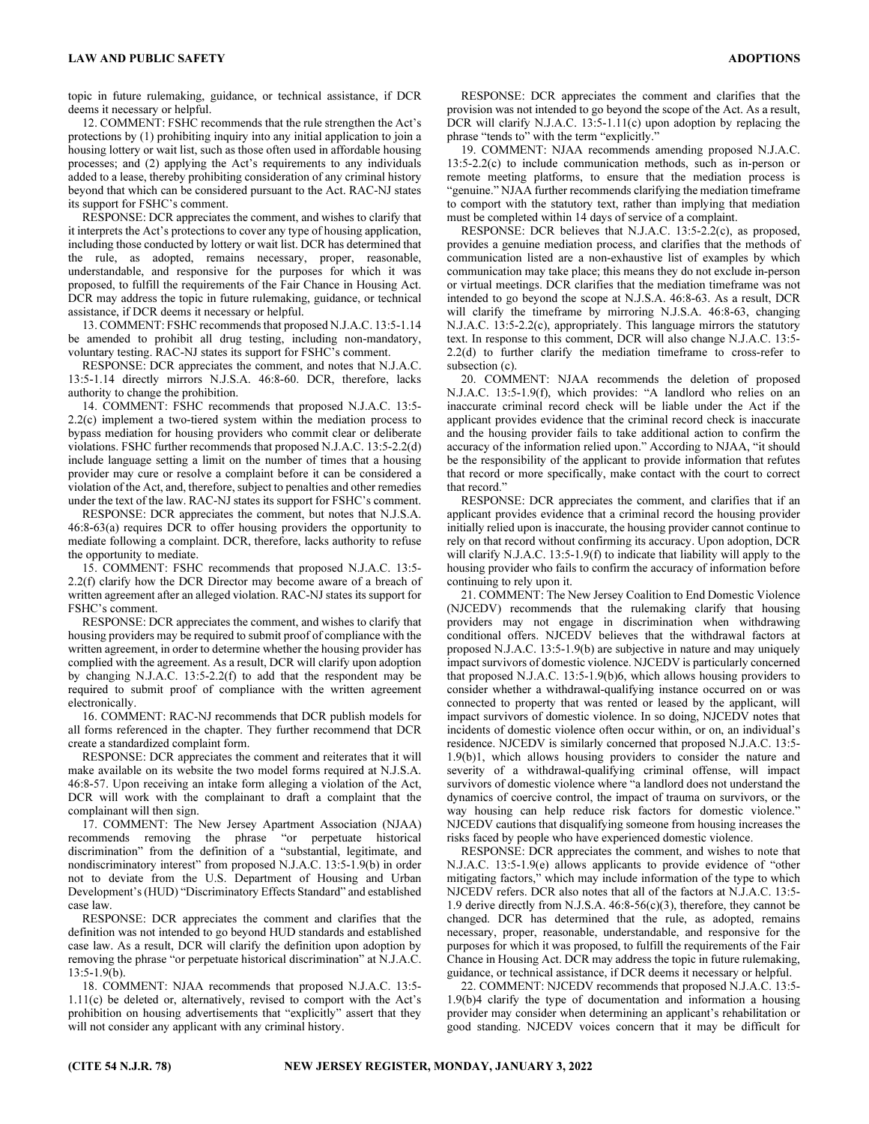topic in future rulemaking, guidance, or technical assistance, if DCR deems it necessary or helpful.

12. COMMENT: FSHC recommends that the rule strengthen the Act's protections by (1) prohibiting inquiry into any initial application to join a housing lottery or wait list, such as those often used in affordable housing processes; and (2) applying the Act's requirements to any individuals added to a lease, thereby prohibiting consideration of any criminal history beyond that which can be considered pursuant to the Act. RAC-NJ states its support for FSHC's comment.

RESPONSE: DCR appreciates the comment, and wishes to clarify that it interprets the Act's protections to cover any type of housing application, including those conducted by lottery or wait list. DCR has determined that the rule, as adopted, remains necessary, proper, reasonable, understandable, and responsive for the purposes for which it was proposed, to fulfill the requirements of the Fair Chance in Housing Act. DCR may address the topic in future rulemaking, guidance, or technical assistance, if DCR deems it necessary or helpful.

13. COMMENT: FSHC recommends that proposed N.J.A.C. 13:5-1.14 be amended to prohibit all drug testing, including non-mandatory, voluntary testing. RAC-NJ states its support for FSHC's comment.

RESPONSE: DCR appreciates the comment, and notes that N.J.A.C. 13:5-1.14 directly mirrors N.J.S.A. 46:8-60. DCR, therefore, lacks authority to change the prohibition.

14. COMMENT: FSHC recommends that proposed N.J.A.C. 13:5- 2.2(c) implement a two-tiered system within the mediation process to bypass mediation for housing providers who commit clear or deliberate violations. FSHC further recommends that proposed N.J.A.C. 13:5-2.2(d) include language setting a limit on the number of times that a housing provider may cure or resolve a complaint before it can be considered a violation of the Act, and, therefore, subject to penalties and other remedies under the text of the law. RAC-NJ states its support for FSHC's comment.

RESPONSE: DCR appreciates the comment, but notes that N.J.S.A. 46:8-63(a) requires DCR to offer housing providers the opportunity to mediate following a complaint. DCR, therefore, lacks authority to refuse the opportunity to mediate.

15. COMMENT: FSHC recommends that proposed N.J.A.C. 13:5- 2.2(f) clarify how the DCR Director may become aware of a breach of written agreement after an alleged violation. RAC-NJ states its support for FSHC's comment.

RESPONSE: DCR appreciates the comment, and wishes to clarify that housing providers may be required to submit proof of compliance with the written agreement, in order to determine whether the housing provider has complied with the agreement. As a result, DCR will clarify upon adoption by changing N.J.A.C. 13:5-2.2(f) to add that the respondent may be required to submit proof of compliance with the written agreement electronically.

16. COMMENT: RAC-NJ recommends that DCR publish models for all forms referenced in the chapter. They further recommend that DCR create a standardized complaint form.

RESPONSE: DCR appreciates the comment and reiterates that it will make available on its website the two model forms required at N.J.S.A. 46:8-57. Upon receiving an intake form alleging a violation of the Act, DCR will work with the complainant to draft a complaint that the complainant will then sign.

17. COMMENT: The New Jersey Apartment Association (NJAA) recommends removing the phrase "or perpetuate historical discrimination" from the definition of a "substantial, legitimate, and nondiscriminatory interest" from proposed N.J.A.C. 13:5-1.9(b) in order not to deviate from the U.S. Department of Housing and Urban Development's (HUD) "Discriminatory Effects Standard" and established case law.

RESPONSE: DCR appreciates the comment and clarifies that the definition was not intended to go beyond HUD standards and established case law. As a result, DCR will clarify the definition upon adoption by removing the phrase "or perpetuate historical discrimination" at N.J.A.C. 13:5-1.9(b).

18. COMMENT: NJAA recommends that proposed N.J.A.C. 13:5- 1.11(c) be deleted or, alternatively, revised to comport with the Act's prohibition on housing advertisements that "explicitly" assert that they will not consider any applicant with any criminal history.

RESPONSE: DCR appreciates the comment and clarifies that the provision was not intended to go beyond the scope of the Act. As a result, DCR will clarify N.J.A.C. 13:5-1.11(c) upon adoption by replacing the phrase "tends to" with the term "explicitly."

19. COMMENT: NJAA recommends amending proposed N.J.A.C. 13:5-2.2(c) to include communication methods, such as in-person or remote meeting platforms, to ensure that the mediation process is "genuine." NJAA further recommends clarifying the mediation timeframe to comport with the statutory text, rather than implying that mediation must be completed within 14 days of service of a complaint.

RESPONSE: DCR believes that N.J.A.C. 13:5-2.2(c), as proposed, provides a genuine mediation process, and clarifies that the methods of communication listed are a non-exhaustive list of examples by which communication may take place; this means they do not exclude in-person or virtual meetings. DCR clarifies that the mediation timeframe was not intended to go beyond the scope at N.J.S.A. 46:8-63. As a result, DCR will clarify the timeframe by mirroring N.J.S.A. 46:8-63, changing N.J.A.C. 13:5-2.2(c), appropriately. This language mirrors the statutory text. In response to this comment, DCR will also change N.J.A.C. 13:5- 2.2(d) to further clarify the mediation timeframe to cross-refer to subsection (c).

20. COMMENT: NJAA recommends the deletion of proposed N.J.A.C. 13:5-1.9(f), which provides: "A landlord who relies on an inaccurate criminal record check will be liable under the Act if the applicant provides evidence that the criminal record check is inaccurate and the housing provider fails to take additional action to confirm the accuracy of the information relied upon." According to NJAA, "it should be the responsibility of the applicant to provide information that refutes that record or more specifically, make contact with the court to correct that record."

RESPONSE: DCR appreciates the comment, and clarifies that if an applicant provides evidence that a criminal record the housing provider initially relied upon is inaccurate, the housing provider cannot continue to rely on that record without confirming its accuracy. Upon adoption, DCR will clarify N.J.A.C. 13:5-1.9(f) to indicate that liability will apply to the housing provider who fails to confirm the accuracy of information before continuing to rely upon it.

21. COMMENT: The New Jersey Coalition to End Domestic Violence (NJCEDV) recommends that the rulemaking clarify that housing providers may not engage in discrimination when withdrawing conditional offers. NJCEDV believes that the withdrawal factors at proposed N.J.A.C. 13:5-1.9(b) are subjective in nature and may uniquely impact survivors of domestic violence. NJCEDV is particularly concerned that proposed N.J.A.C. 13:5-1.9(b)6, which allows housing providers to consider whether a withdrawal-qualifying instance occurred on or was connected to property that was rented or leased by the applicant, will impact survivors of domestic violence. In so doing, NJCEDV notes that incidents of domestic violence often occur within, or on, an individual's residence. NJCEDV is similarly concerned that proposed N.J.A.C. 13:5- 1.9(b)1, which allows housing providers to consider the nature and severity of a withdrawal-qualifying criminal offense, will impact survivors of domestic violence where "a landlord does not understand the dynamics of coercive control, the impact of trauma on survivors, or the way housing can help reduce risk factors for domestic violence." NJCEDV cautions that disqualifying someone from housing increases the risks faced by people who have experienced domestic violence.

RESPONSE: DCR appreciates the comment, and wishes to note that N.J.A.C. 13:5-1.9(e) allows applicants to provide evidence of "other mitigating factors," which may include information of the type to which NJCEDV refers. DCR also notes that all of the factors at N.J.A.C. 13:5- 1.9 derive directly from N.J.S.A. 46:8-56(c)(3), therefore, they cannot be changed. DCR has determined that the rule, as adopted, remains necessary, proper, reasonable, understandable, and responsive for the purposes for which it was proposed, to fulfill the requirements of the Fair Chance in Housing Act. DCR may address the topic in future rulemaking, guidance, or technical assistance, if DCR deems it necessary or helpful.

22. COMMENT: NJCEDV recommends that proposed N.J.A.C. 13:5- 1.9(b)4 clarify the type of documentation and information a housing provider may consider when determining an applicant's rehabilitation or good standing. NJCEDV voices concern that it may be difficult for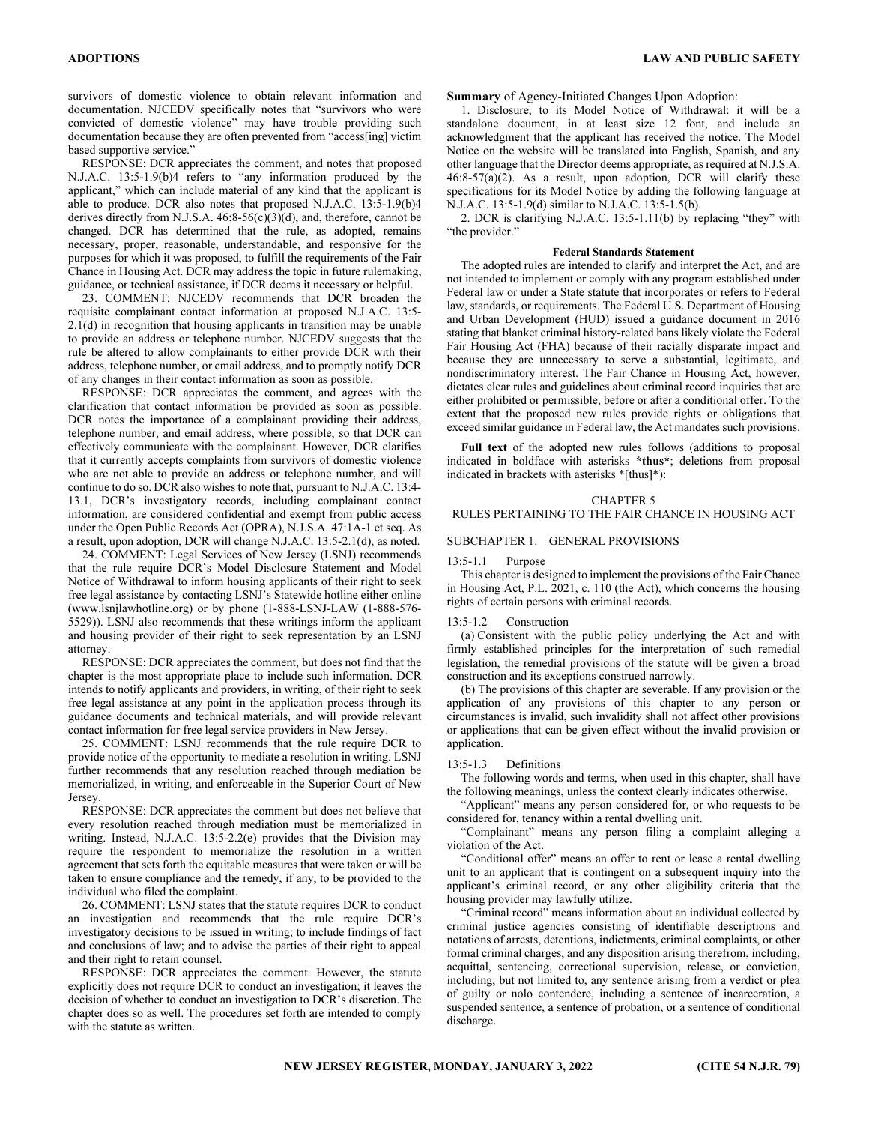survivors of domestic violence to obtain relevant information and documentation. NJCEDV specifically notes that "survivors who were convicted of domestic violence" may have trouble providing such documentation because they are often prevented from "access[ing] victim based supportive service."

RESPONSE: DCR appreciates the comment, and notes that proposed N.J.A.C. 13:5-1.9(b)4 refers to "any information produced by the applicant," which can include material of any kind that the applicant is able to produce. DCR also notes that proposed N.J.A.C. 13:5-1.9(b)4 derives directly from N.J.S.A. 46:8-56(c)(3)(d), and, therefore, cannot be changed. DCR has determined that the rule, as adopted, remains necessary, proper, reasonable, understandable, and responsive for the purposes for which it was proposed, to fulfill the requirements of the Fair Chance in Housing Act. DCR may address the topic in future rulemaking, guidance, or technical assistance, if DCR deems it necessary or helpful.

23. COMMENT: NJCEDV recommends that DCR broaden the requisite complainant contact information at proposed N.J.A.C. 13:5-  $2.1(d)$  in recognition that housing applicants in transition may be unable to provide an address or telephone number. NJCEDV suggests that the rule be altered to allow complainants to either provide DCR with their address, telephone number, or email address, and to promptly notify DCR of any changes in their contact information as soon as possible.

RESPONSE: DCR appreciates the comment, and agrees with the clarification that contact information be provided as soon as possible. DCR notes the importance of a complainant providing their address, telephone number, and email address, where possible, so that DCR can effectively communicate with the complainant. However, DCR clarifies that it currently accepts complaints from survivors of domestic violence who are not able to provide an address or telephone number, and will continue to do so. DCR also wishes to note that, pursuant to N.J.A.C. 13:4- 13.1, DCR's investigatory records, including complainant contact information, are considered confidential and exempt from public access under the Open Public Records Act (OPRA), N.J.S.A. 47:1A-1 et seq. As a result, upon adoption, DCR will change N.J.A.C. 13:5-2.1(d), as noted.

24. COMMENT: Legal Services of New Jersey (LSNJ) recommends that the rule require DCR's Model Disclosure Statement and Model Notice of Withdrawal to inform housing applicants of their right to seek free legal assistance by contacting LSNJ's Statewide hotline either online (www.lsnjlawhotline.org) or by phone (1-888-LSNJ-LAW (1-888-576- 5529)). LSNJ also recommends that these writings inform the applicant and housing provider of their right to seek representation by an LSNJ attorney.

RESPONSE: DCR appreciates the comment, but does not find that the chapter is the most appropriate place to include such information. DCR intends to notify applicants and providers, in writing, of their right to seek free legal assistance at any point in the application process through its guidance documents and technical materials, and will provide relevant contact information for free legal service providers in New Jersey.

25. COMMENT: LSNJ recommends that the rule require DCR to provide notice of the opportunity to mediate a resolution in writing. LSNJ further recommends that any resolution reached through mediation be memorialized, in writing, and enforceable in the Superior Court of New Jersey.

RESPONSE: DCR appreciates the comment but does not believe that every resolution reached through mediation must be memorialized in writing. Instead, N.J.A.C. 13:5-2.2(e) provides that the Division may require the respondent to memorialize the resolution in a written agreement that sets forth the equitable measures that were taken or will be taken to ensure compliance and the remedy, if any, to be provided to the individual who filed the complaint.

26. COMMENT: LSNJ states that the statute requires DCR to conduct an investigation and recommends that the rule require DCR's investigatory decisions to be issued in writing; to include findings of fact and conclusions of law; and to advise the parties of their right to appeal and their right to retain counsel.

RESPONSE: DCR appreciates the comment. However, the statute explicitly does not require DCR to conduct an investigation; it leaves the decision of whether to conduct an investigation to DCR's discretion. The chapter does so as well. The procedures set forth are intended to comply with the statute as written.

### Summary of Agency-Initiated Changes Upon Adoption:

1. Disclosure, to its Model Notice of Withdrawal: it will be a standalone document, in at least size 12 font, and include an acknowledgment that the applicant has received the notice. The Model Notice on the website will be translated into English, Spanish, and any other language that the Director deems appropriate, as required at N.J.S.A. 46:8-57(a)(2). As a result, upon adoption, DCR will clarify these specifications for its Model Notice by adding the following language at N.J.A.C. 13:5-1.9(d) similar to N.J.A.C. 13:5-1.5(b).

2. DCR is clarifying N.J.A.C. 13:5-1.11(b) by replacing "they" with "the provider."

#### Federal Standards Statement

The adopted rules are intended to clarify and interpret the Act, and are not intended to implement or comply with any program established under Federal law or under a State statute that incorporates or refers to Federal law, standards, or requirements. The Federal U.S. Department of Housing and Urban Development (HUD) issued a guidance document in 2016 stating that blanket criminal history-related bans likely violate the Federal Fair Housing Act (FHA) because of their racially disparate impact and because they are unnecessary to serve a substantial, legitimate, and nondiscriminatory interest. The Fair Chance in Housing Act, however, dictates clear rules and guidelines about criminal record inquiries that are either prohibited or permissible, before or after a conditional offer. To the extent that the proposed new rules provide rights or obligations that exceed similar guidance in Federal law, the Act mandates such provisions.

Full text of the adopted new rules follows (additions to proposal indicated in boldface with asterisks \*thus\*; deletions from proposal indicated in brackets with asterisks \*[thus]\*):

#### CHAPTER 5

#### RULES PERTAINING TO THE FAIR CHANCE IN HOUSING ACT

#### SUBCHAPTER 1. GENERAL PROVISIONS

#### 13:5-1.1 Purpose

This chapter is designed to implement the provisions of the Fair Chance in Housing Act, P.L. 2021, c. 110 (the Act), which concerns the housing rights of certain persons with criminal records.

#### 13:5-1.2 Construction

(a) Consistent with the public policy underlying the Act and with firmly established principles for the interpretation of such remedial legislation, the remedial provisions of the statute will be given a broad construction and its exceptions construed narrowly.

(b) The provisions of this chapter are severable. If any provision or the application of any provisions of this chapter to any person or circumstances is invalid, such invalidity shall not affect other provisions or applications that can be given effect without the invalid provision or application.

#### 13:5-1.3 Definitions

The following words and terms, when used in this chapter, shall have the following meanings, unless the context clearly indicates otherwise.

"Applicant" means any person considered for, or who requests to be considered for, tenancy within a rental dwelling unit.

"Complainant" means any person filing a complaint alleging a violation of the Act.

"Conditional offer" means an offer to rent or lease a rental dwelling unit to an applicant that is contingent on a subsequent inquiry into the applicant's criminal record, or any other eligibility criteria that the housing provider may lawfully utilize.

"Criminal record" means information about an individual collected by criminal justice agencies consisting of identifiable descriptions and notations of arrests, detentions, indictments, criminal complaints, or other formal criminal charges, and any disposition arising therefrom, including, acquittal, sentencing, correctional supervision, release, or conviction, including, but not limited to, any sentence arising from a verdict or plea of guilty or nolo contendere, including a sentence of incarceration, a suspended sentence, a sentence of probation, or a sentence of conditional discharge.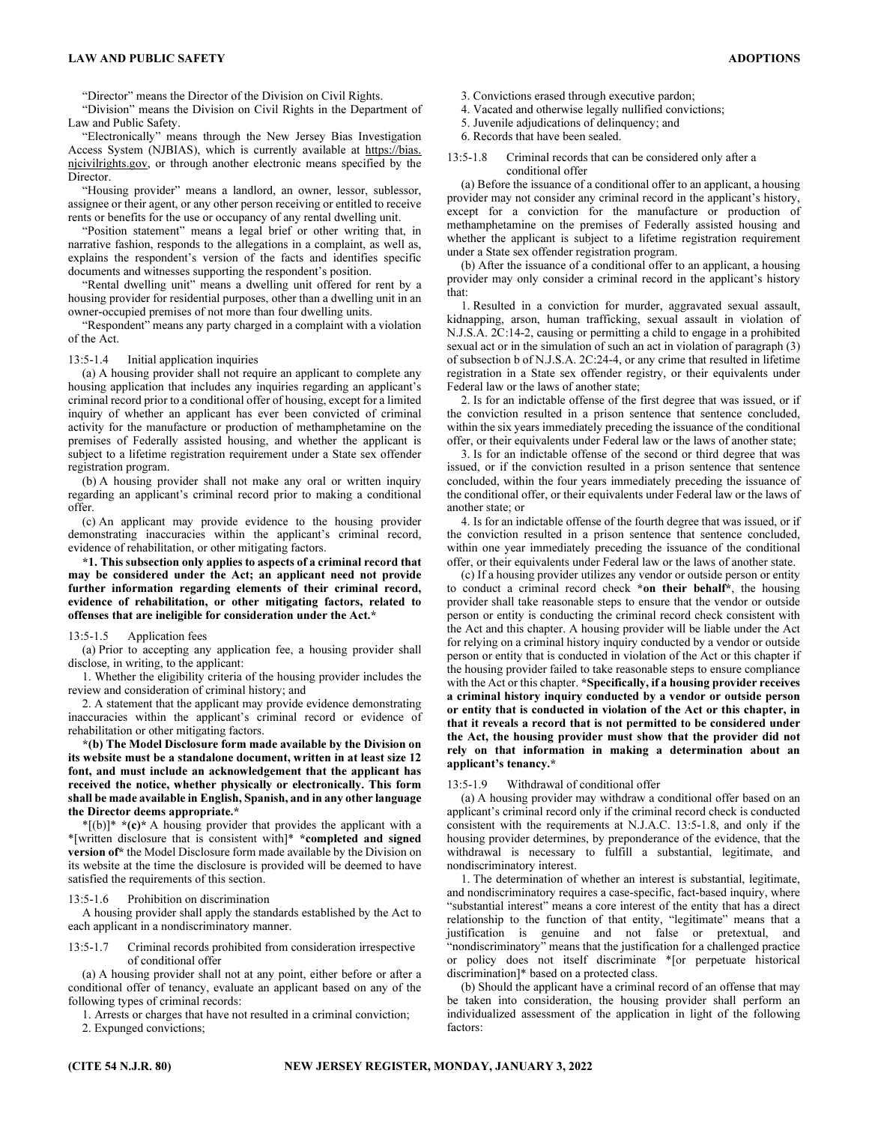#### LAW AND PUBLIC SAFETY ADOPTIONS

"Director" means the Director of the Division on Civil Rights.

"Division" means the Division on Civil Rights in the Department of Law and Public Safety.

"Electronically" means through the New Jersey Bias Investigation Access System (NJBIAS), which is currently available at https://bias. njcivilrights.gov, or through another electronic means specified by the Director.

"Housing provider" means a landlord, an owner, lessor, sublessor, assignee or their agent, or any other person receiving or entitled to receive rents or benefits for the use or occupancy of any rental dwelling unit.

"Position statement" means a legal brief or other writing that, in narrative fashion, responds to the allegations in a complaint, as well as, explains the respondent's version of the facts and identifies specific documents and witnesses supporting the respondent's position.

"Rental dwelling unit" means a dwelling unit offered for rent by a housing provider for residential purposes, other than a dwelling unit in an owner-occupied premises of not more than four dwelling units.

"Respondent" means any party charged in a complaint with a violation of the Act.

#### 13:5-1.4 Initial application inquiries

(a) A housing provider shall not require an applicant to complete any housing application that includes any inquiries regarding an applicant's criminal record prior to a conditional offer of housing, except for a limited inquiry of whether an applicant has ever been convicted of criminal activity for the manufacture or production of methamphetamine on the premises of Federally assisted housing, and whether the applicant is subject to a lifetime registration requirement under a State sex offender registration program.

(b) A housing provider shall not make any oral or written inquiry regarding an applicant's criminal record prior to making a conditional offer.

(c) An applicant may provide evidence to the housing provider demonstrating inaccuracies within the applicant's criminal record, evidence of rehabilitation, or other mitigating factors.

\*1. This subsection only applies to aspects of a criminal record that may be considered under the Act; an applicant need not provide further information regarding elements of their criminal record, evidence of rehabilitation, or other mitigating factors, related to offenses that are ineligible for consideration under the Act.\*

#### 13:5-1.5 Application fees

(a) Prior to accepting any application fee, a housing provider shall disclose, in writing, to the applicant:

1. Whether the eligibility criteria of the housing provider includes the review and consideration of criminal history; and

2. A statement that the applicant may provide evidence demonstrating inaccuracies within the applicant's criminal record or evidence of rehabilitation or other mitigating factors.

\*(b) The Model Disclosure form made available by the Division on its website must be a standalone document, written in at least size 12 font, and must include an acknowledgement that the applicant has received the notice, whether physically or electronically. This form shall be made available in English, Spanish, and in any other language the Director deems appropriate.\*

 $*(b)$ <sup>\*</sup>  $*(c)$ <sup>\*</sup> A housing provider that provides the applicant with a \*[written disclosure that is consistent with]\* \*completed and signed version of\* the Model Disclosure form made available by the Division on its website at the time the disclosure is provided will be deemed to have satisfied the requirements of this section.

#### 13:5-1.6 Prohibition on discrimination

A housing provider shall apply the standards established by the Act to each applicant in a nondiscriminatory manner.

13:5-1.7 Criminal records prohibited from consideration irrespective of conditional offer

(a) A housing provider shall not at any point, either before or after a conditional offer of tenancy, evaluate an applicant based on any of the following types of criminal records:

1. Arrests or charges that have not resulted in a criminal conviction;

2. Expunged convictions;

- 3. Convictions erased through executive pardon;
- 4. Vacated and otherwise legally nullified convictions;
- 5. Juvenile adjudications of delinquency; and
- 6. Records that have been sealed.
- 13:5-1.8 Criminal records that can be considered only after a conditional offer

(a) Before the issuance of a conditional offer to an applicant, a housing provider may not consider any criminal record in the applicant's history, except for a conviction for the manufacture or production of methamphetamine on the premises of Federally assisted housing and whether the applicant is subject to a lifetime registration requirement under a State sex offender registration program.

(b) After the issuance of a conditional offer to an applicant, a housing provider may only consider a criminal record in the applicant's history that:

1. Resulted in a conviction for murder, aggravated sexual assault, kidnapping, arson, human trafficking, sexual assault in violation of N.J.S.A. 2C:14-2, causing or permitting a child to engage in a prohibited sexual act or in the simulation of such an act in violation of paragraph (3) of subsection b of N.J.S.A. 2C:24-4, or any crime that resulted in lifetime registration in a State sex offender registry, or their equivalents under Federal law or the laws of another state;

2. Is for an indictable offense of the first degree that was issued, or if the conviction resulted in a prison sentence that sentence concluded, within the six years immediately preceding the issuance of the conditional offer, or their equivalents under Federal law or the laws of another state;

3. Is for an indictable offense of the second or third degree that was issued, or if the conviction resulted in a prison sentence that sentence concluded, within the four years immediately preceding the issuance of the conditional offer, or their equivalents under Federal law or the laws of another state; or

4. Is for an indictable offense of the fourth degree that was issued, or if the conviction resulted in a prison sentence that sentence concluded, within one year immediately preceding the issuance of the conditional offer, or their equivalents under Federal law or the laws of another state.

(c) If a housing provider utilizes any vendor or outside person or entity to conduct a criminal record check \*on their behalf\*, the housing provider shall take reasonable steps to ensure that the vendor or outside person or entity is conducting the criminal record check consistent with the Act and this chapter. A housing provider will be liable under the Act for relying on a criminal history inquiry conducted by a vendor or outside person or entity that is conducted in violation of the Act or this chapter if the housing provider failed to take reasonable steps to ensure compliance with the Act or this chapter. \*Specifically, if a housing provider receives a criminal history inquiry conducted by a vendor or outside person or entity that is conducted in violation of the Act or this chapter, in that it reveals a record that is not permitted to be considered under the Act, the housing provider must show that the provider did not rely on that information in making a determination about an applicant's tenancy.\*

#### 13:5-1.9 Withdrawal of conditional offer

(a) A housing provider may withdraw a conditional offer based on an applicant's criminal record only if the criminal record check is conducted consistent with the requirements at N.J.A.C. 13:5-1.8, and only if the housing provider determines, by preponderance of the evidence, that the withdrawal is necessary to fulfill a substantial, legitimate, and nondiscriminatory interest.

1. The determination of whether an interest is substantial, legitimate, and nondiscriminatory requires a case-specific, fact-based inquiry, where "substantial interest" means a core interest of the entity that has a direct relationship to the function of that entity, "legitimate" means that a justification is genuine and not false or pretextual, and "nondiscriminatory" means that the justification for a challenged practice or policy does not itself discriminate \*[or perpetuate historical discrimination]\* based on a protected class.

(b) Should the applicant have a criminal record of an offense that may be taken into consideration, the housing provider shall perform an individualized assessment of the application in light of the following factors: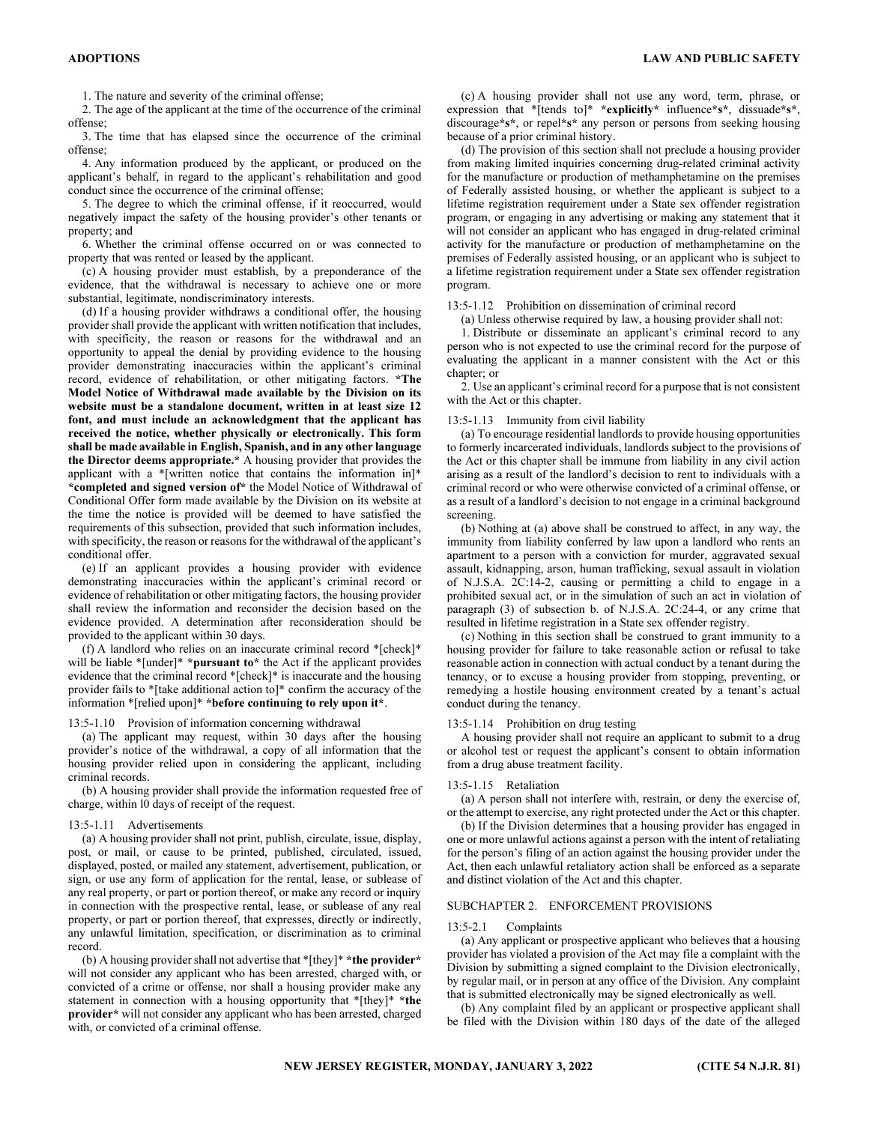1. The nature and severity of the criminal offense;

2. The age of the applicant at the time of the occurrence of the criminal offense;

3. The time that has elapsed since the occurrence of the criminal offense;

4. Any information produced by the applicant, or produced on the applicant's behalf, in regard to the applicant's rehabilitation and good conduct since the occurrence of the criminal offense;

5. The degree to which the criminal offense, if it reoccurred, would negatively impact the safety of the housing provider's other tenants or property; and

6. Whether the criminal offense occurred on or was connected to property that was rented or leased by the applicant.

(c) A housing provider must establish, by a preponderance of the evidence, that the withdrawal is necessary to achieve one or more substantial, legitimate, nondiscriminatory interests.

(d) If a housing provider withdraws a conditional offer, the housing provider shall provide the applicant with written notification that includes, with specificity, the reason or reasons for the withdrawal and an opportunity to appeal the denial by providing evidence to the housing provider demonstrating inaccuracies within the applicant's criminal record, evidence of rehabilitation, or other mitigating factors. \*The Model Notice of Withdrawal made available by the Division on its website must be a standalone document, written in at least size 12 font, and must include an acknowledgment that the applicant has received the notice, whether physically or electronically. This form shall be made available in English, Spanish, and in any other language the Director deems appropriate.\* A housing provider that provides the applicant with a \*[written notice that contains the information in]\* \*completed and signed version of\* the Model Notice of Withdrawal of Conditional Offer form made available by the Division on its website at the time the notice is provided will be deemed to have satisfied the requirements of this subsection, provided that such information includes, with specificity, the reason or reasons for the withdrawal of the applicant's conditional offer.

(e) If an applicant provides a housing provider with evidence demonstrating inaccuracies within the applicant's criminal record or evidence of rehabilitation or other mitigating factors, the housing provider shall review the information and reconsider the decision based on the evidence provided. A determination after reconsideration should be provided to the applicant within 30 days.

(f) A landlord who relies on an inaccurate criminal record \*[check]\* will be liable \*[under]\* \*pursuant to\* the Act if the applicant provides evidence that the criminal record \*[check]\* is inaccurate and the housing provider fails to \*[take additional action to]\* confirm the accuracy of the information \*[relied upon]\* \*before continuing to rely upon it\*.

13:5-1.10 Provision of information concerning withdrawal

(a) The applicant may request, within 30 days after the housing provider's notice of the withdrawal, a copy of all information that the housing provider relied upon in considering the applicant, including criminal records.

(b) A housing provider shall provide the information requested free of charge, within l0 days of receipt of the request.

#### 13:5-1.11 Advertisements

(a) A housing provider shall not print, publish, circulate, issue, display, post, or mail, or cause to be printed, published, circulated, issued, displayed, posted, or mailed any statement, advertisement, publication, or sign, or use any form of application for the rental, lease, or sublease of any real property, or part or portion thereof, or make any record or inquiry in connection with the prospective rental, lease, or sublease of any real property, or part or portion thereof, that expresses, directly or indirectly, any unlawful limitation, specification, or discrimination as to criminal record.

(b) A housing provider shall not advertise that  $*$ [they] $* *$ the provider $*$ will not consider any applicant who has been arrested, charged with, or convicted of a crime or offense, nor shall a housing provider make any statement in connection with a housing opportunity that \*[they]\* \*the provider\* will not consider any applicant who has been arrested, charged with, or convicted of a criminal offense.

(c) A housing provider shall not use any word, term, phrase, or expression that \*[tends to]\* \*explicitly\* influence\*s\*, dissuade\*s\*, discourage\*s\*, or repel\*s\* any person or persons from seeking housing because of a prior criminal history.

(d) The provision of this section shall not preclude a housing provider from making limited inquiries concerning drug-related criminal activity for the manufacture or production of methamphetamine on the premises of Federally assisted housing, or whether the applicant is subject to a lifetime registration requirement under a State sex offender registration program, or engaging in any advertising or making any statement that it will not consider an applicant who has engaged in drug-related criminal activity for the manufacture or production of methamphetamine on the premises of Federally assisted housing, or an applicant who is subject to a lifetime registration requirement under a State sex offender registration program.

#### 13:5-1.12 Prohibition on dissemination of criminal record

(a) Unless otherwise required by law, a housing provider shall not:

1. Distribute or disseminate an applicant's criminal record to any person who is not expected to use the criminal record for the purpose of evaluating the applicant in a manner consistent with the Act or this chapter; or

2. Use an applicant's criminal record for a purpose that is not consistent with the Act or this chapter.

#### 13:5-1.13 Immunity from civil liability

(a) To encourage residential landlords to provide housing opportunities to formerly incarcerated individuals, landlords subject to the provisions of the Act or this chapter shall be immune from liability in any civil action arising as a result of the landlord's decision to rent to individuals with a criminal record or who were otherwise convicted of a criminal offense, or as a result of a landlord's decision to not engage in a criminal background screening.

(b) Nothing at (a) above shall be construed to affect, in any way, the immunity from liability conferred by law upon a landlord who rents an apartment to a person with a conviction for murder, aggravated sexual assault, kidnapping, arson, human trafficking, sexual assault in violation of N.J.S.A. 2C:14-2, causing or permitting a child to engage in a prohibited sexual act, or in the simulation of such an act in violation of paragraph (3) of subsection b. of N.J.S.A. 2C:24-4, or any crime that resulted in lifetime registration in a State sex offender registry.

(c) Nothing in this section shall be construed to grant immunity to a housing provider for failure to take reasonable action or refusal to take reasonable action in connection with actual conduct by a tenant during the tenancy, or to excuse a housing provider from stopping, preventing, or remedying a hostile housing environment created by a tenant's actual conduct during the tenancy.

#### 13:5-1.14 Prohibition on drug testing

A housing provider shall not require an applicant to submit to a drug or alcohol test or request the applicant's consent to obtain information from a drug abuse treatment facility.

#### 13:5-1.15 Retaliation

(a) A person shall not interfere with, restrain, or deny the exercise of, or the attempt to exercise, any right protected under the Act or this chapter.

(b) If the Division determines that a housing provider has engaged in one or more unlawful actions against a person with the intent of retaliating for the person's filing of an action against the housing provider under the Act, then each unlawful retaliatory action shall be enforced as a separate and distinct violation of the Act and this chapter.

#### SUBCHAPTER 2. ENFORCEMENT PROVISIONS

#### 13:5-2.1 Complaints

(a) Any applicant or prospective applicant who believes that a housing provider has violated a provision of the Act may file a complaint with the Division by submitting a signed complaint to the Division electronically, by regular mail, or in person at any office of the Division. Any complaint that is submitted electronically may be signed electronically as well.

(b) Any complaint filed by an applicant or prospective applicant shall be filed with the Division within 180 days of the date of the alleged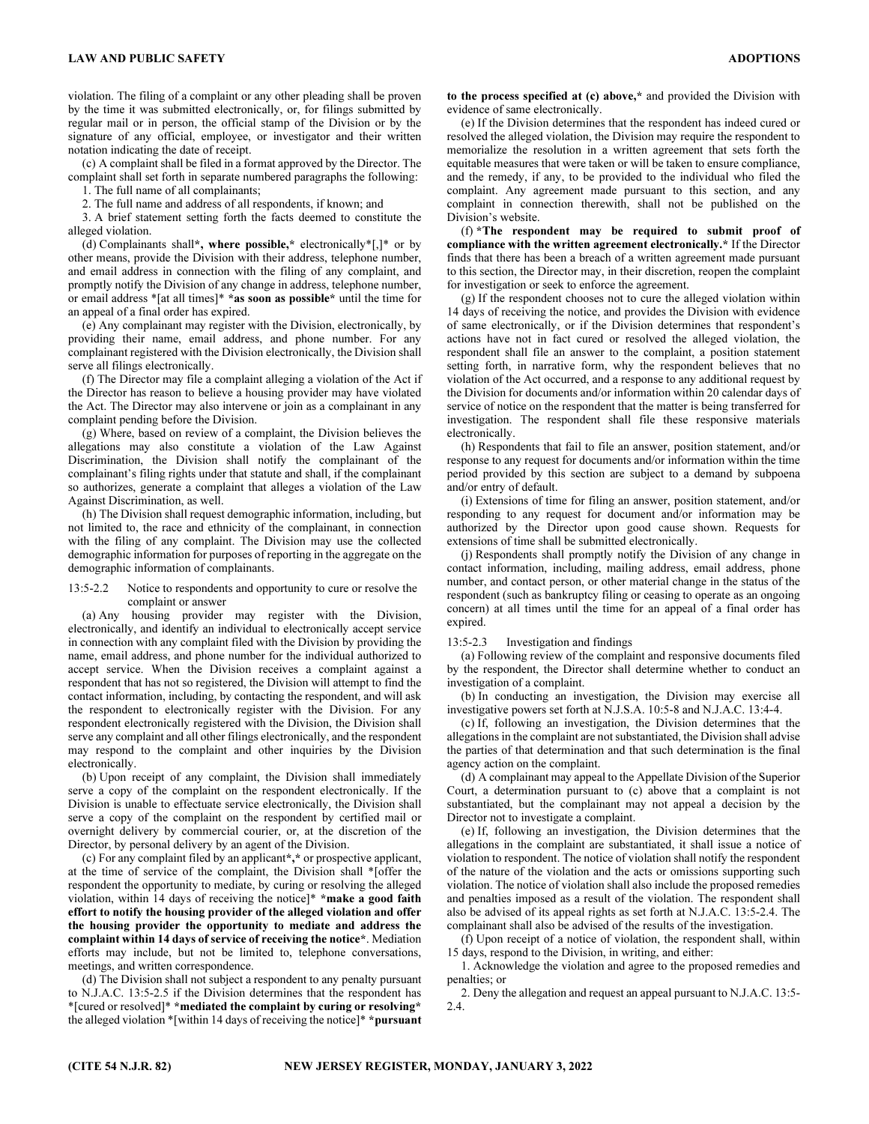violation. The filing of a complaint or any other pleading shall be proven by the time it was submitted electronically, or, for filings submitted by regular mail or in person, the official stamp of the Division or by the signature of any official, employee, or investigator and their written notation indicating the date of receipt.

(c) A complaint shall be filed in a format approved by the Director. The complaint shall set forth in separate numbered paragraphs the following:

1. The full name of all complainants;

2. The full name and address of all respondents, if known; and

3. A brief statement setting forth the facts deemed to constitute the alleged violation.

(d) Complainants shall\*, where possible,\* electronically\*[,]\* or by other means, provide the Division with their address, telephone number, and email address in connection with the filing of any complaint, and promptly notify the Division of any change in address, telephone number, or email address \*[at all times]\* \*as soon as possible\* until the time for an appeal of a final order has expired.

(e) Any complainant may register with the Division, electronically, by providing their name, email address, and phone number. For any complainant registered with the Division electronically, the Division shall serve all filings electronically.

(f) The Director may file a complaint alleging a violation of the Act if the Director has reason to believe a housing provider may have violated the Act. The Director may also intervene or join as a complainant in any complaint pending before the Division.

(g) Where, based on review of a complaint, the Division believes the allegations may also constitute a violation of the Law Against Discrimination, the Division shall notify the complainant of the complainant's filing rights under that statute and shall, if the complainant so authorizes, generate a complaint that alleges a violation of the Law Against Discrimination, as well.

(h) The Division shall request demographic information, including, but not limited to, the race and ethnicity of the complainant, in connection with the filing of any complaint. The Division may use the collected demographic information for purposes of reporting in the aggregate on the demographic information of complainants.

#### 13:5-2.2 Notice to respondents and opportunity to cure or resolve the complaint or answer

(a) Any housing provider may register with the Division, electronically, and identify an individual to electronically accept service in connection with any complaint filed with the Division by providing the name, email address, and phone number for the individual authorized to accept service. When the Division receives a complaint against a respondent that has not so registered, the Division will attempt to find the contact information, including, by contacting the respondent, and will ask the respondent to electronically register with the Division. For any respondent electronically registered with the Division, the Division shall serve any complaint and all other filings electronically, and the respondent may respond to the complaint and other inquiries by the Division electronically.

(b) Upon receipt of any complaint, the Division shall immediately serve a copy of the complaint on the respondent electronically. If the Division is unable to effectuate service electronically, the Division shall serve a copy of the complaint on the respondent by certified mail or overnight delivery by commercial courier, or, at the discretion of the Director, by personal delivery by an agent of the Division.

(c) For any complaint filed by an applicant\*,\* or prospective applicant, at the time of service of the complaint, the Division shall \*[offer the respondent the opportunity to mediate, by curing or resolving the alleged violation, within 14 days of receiving the notice]\* \*make a good faith effort to notify the housing provider of the alleged violation and offer the housing provider the opportunity to mediate and address the complaint within 14 days of service of receiving the notice\*. Mediation efforts may include, but not be limited to, telephone conversations, meetings, and written correspondence.

(d) The Division shall not subject a respondent to any penalty pursuant to N.J.A.C. 13:5-2.5 if the Division determines that the respondent has \*[cured or resolved]\* \*mediated the complaint by curing or resolving\* the alleged violation \*[within 14 days of receiving the notice]\* \*pursuant to the process specified at (c) above,\* and provided the Division with evidence of same electronically.

(e) If the Division determines that the respondent has indeed cured or resolved the alleged violation, the Division may require the respondent to memorialize the resolution in a written agreement that sets forth the equitable measures that were taken or will be taken to ensure compliance, and the remedy, if any, to be provided to the individual who filed the complaint. Any agreement made pursuant to this section, and any complaint in connection therewith, shall not be published on the Division's website.

(f) \*The respondent may be required to submit proof of compliance with the written agreement electronically.\* If the Director finds that there has been a breach of a written agreement made pursuant to this section, the Director may, in their discretion, reopen the complaint for investigation or seek to enforce the agreement.

(g) If the respondent chooses not to cure the alleged violation within 14 days of receiving the notice, and provides the Division with evidence of same electronically, or if the Division determines that respondent's actions have not in fact cured or resolved the alleged violation, the respondent shall file an answer to the complaint, a position statement setting forth, in narrative form, why the respondent believes that no violation of the Act occurred, and a response to any additional request by the Division for documents and/or information within 20 calendar days of service of notice on the respondent that the matter is being transferred for investigation. The respondent shall file these responsive materials electronically.

(h) Respondents that fail to file an answer, position statement, and/or response to any request for documents and/or information within the time period provided by this section are subject to a demand by subpoena and/or entry of default.

(i) Extensions of time for filing an answer, position statement, and/or responding to any request for document and/or information may be authorized by the Director upon good cause shown. Requests for extensions of time shall be submitted electronically.

(j) Respondents shall promptly notify the Division of any change in contact information, including, mailing address, email address, phone number, and contact person, or other material change in the status of the respondent (such as bankruptcy filing or ceasing to operate as an ongoing concern) at all times until the time for an appeal of a final order has expired.

#### 13:5-2.3 Investigation and findings

(a) Following review of the complaint and responsive documents filed by the respondent, the Director shall determine whether to conduct an investigation of a complaint.

(b) In conducting an investigation, the Division may exercise all investigative powers set forth at N.J.S.A. 10:5-8 and N.J.A.C. 13:4-4.

(c) If, following an investigation, the Division determines that the allegations in the complaint are not substantiated, the Division shall advise the parties of that determination and that such determination is the final agency action on the complaint.

(d) A complainant may appeal to the Appellate Division of the Superior Court, a determination pursuant to (c) above that a complaint is not substantiated, but the complainant may not appeal a decision by the Director not to investigate a complaint.

(e) If, following an investigation, the Division determines that the allegations in the complaint are substantiated, it shall issue a notice of violation to respondent. The notice of violation shall notify the respondent of the nature of the violation and the acts or omissions supporting such violation. The notice of violation shall also include the proposed remedies and penalties imposed as a result of the violation. The respondent shall also be advised of its appeal rights as set forth at N.J.A.C. 13:5-2.4. The complainant shall also be advised of the results of the investigation.

(f) Upon receipt of a notice of violation, the respondent shall, within 15 days, respond to the Division, in writing, and either:

1. Acknowledge the violation and agree to the proposed remedies and penalties; or

2. Deny the allegation and request an appeal pursuant to N.J.A.C. 13:5- 2.4.